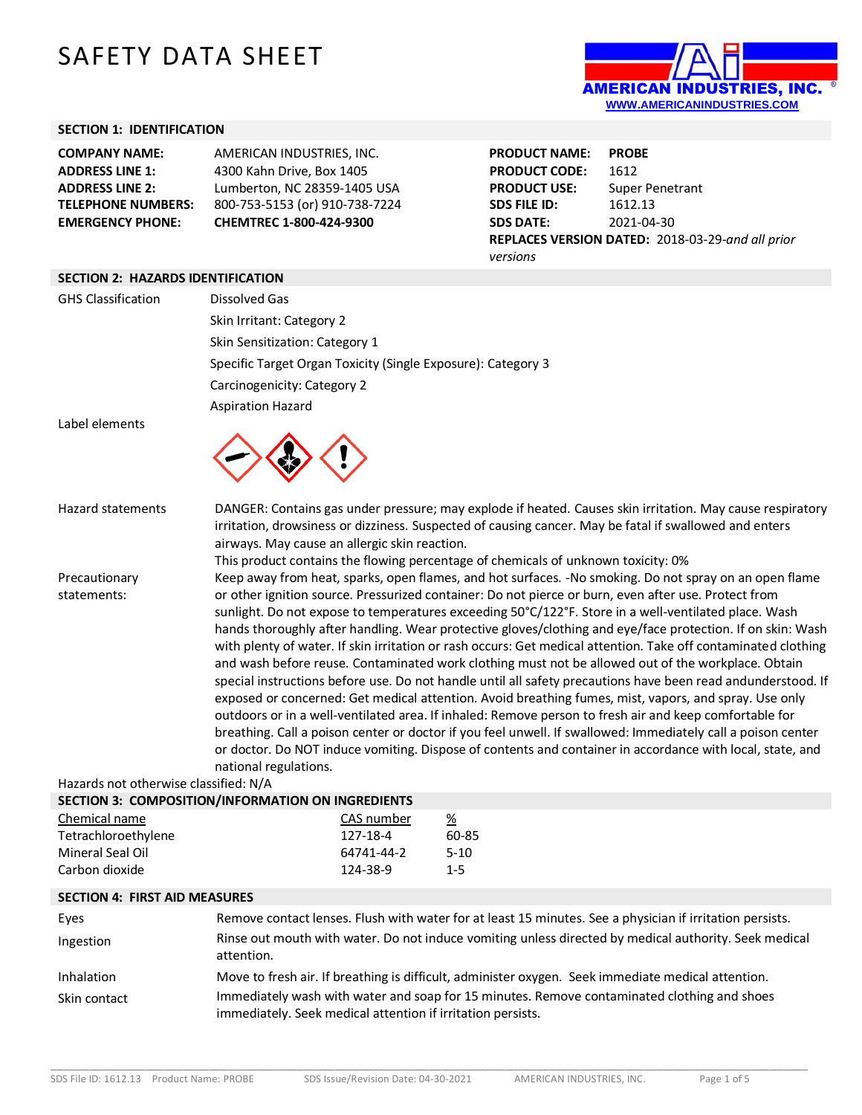## SAFETY DATA SHEET



## **SECTION 1: IDENTIFICATION**

| <b>EMERGENCY PHONE:</b>   | CHEMTREC 1-800-424-9300        |
|---------------------------|--------------------------------|
| <b>TELEPHONE NUMBERS:</b> | 800-753-5153 (or) 910-738-7224 |
| <b>ADDRESS LINE 2:</b>    | Lumberton, NC 28359-1405 USA   |
| <b>ADDRESS LINE 1:</b>    | 4300 Kahn Drive, Box 1405      |
| <b>COMPANY NAME:</b>      | AMERICAN INDUSTRIES. INC.      |

**PRODUCT NAME: PROBE PRODUCT CODE:** 1612<br>**PRODUCT USE:** Super **Super Penetrant SDS FILE ID:** 1612.13 **SDS DATE:** 2021-04-30 **REPLACES VERSION DATED:** 2018-03-29-*and all prior versions*

## **SECTION 2: HAZARDS IDENTIFICATION**

| <b>GHS Classification</b>             | <b>Dissolved Gas</b>                                                              |                                                                                                                                                                                                                              |                       |                                                                                                                                                                                                                           |  |  |
|---------------------------------------|-----------------------------------------------------------------------------------|------------------------------------------------------------------------------------------------------------------------------------------------------------------------------------------------------------------------------|-----------------------|---------------------------------------------------------------------------------------------------------------------------------------------------------------------------------------------------------------------------|--|--|
|                                       | Skin Irritant: Category 2                                                         |                                                                                                                                                                                                                              |                       |                                                                                                                                                                                                                           |  |  |
|                                       | Skin Sensitization: Category 1                                                    |                                                                                                                                                                                                                              |                       |                                                                                                                                                                                                                           |  |  |
|                                       | Specific Target Organ Toxicity (Single Exposure): Category 3                      |                                                                                                                                                                                                                              |                       |                                                                                                                                                                                                                           |  |  |
|                                       | Carcinogenicity: Category 2                                                       |                                                                                                                                                                                                                              |                       |                                                                                                                                                                                                                           |  |  |
|                                       | <b>Aspiration Hazard</b>                                                          |                                                                                                                                                                                                                              |                       |                                                                                                                                                                                                                           |  |  |
| Label elements                        |                                                                                   |                                                                                                                                                                                                                              |                       |                                                                                                                                                                                                                           |  |  |
|                                       |                                                                                   |                                                                                                                                                                                                                              |                       |                                                                                                                                                                                                                           |  |  |
| <b>Hazard statements</b>              |                                                                                   |                                                                                                                                                                                                                              |                       | DANGER: Contains gas under pressure; may explode if heated. Causes skin irritation. May cause respiratory                                                                                                                 |  |  |
|                                       | airways. May cause an allergic skin reaction.                                     |                                                                                                                                                                                                                              |                       | irritation, drowsiness or dizziness. Suspected of causing cancer. May be fatal if swallowed and enters                                                                                                                    |  |  |
|                                       | This product contains the flowing percentage of chemicals of unknown toxicity: 0% |                                                                                                                                                                                                                              |                       |                                                                                                                                                                                                                           |  |  |
| Precautionary                         |                                                                                   |                                                                                                                                                                                                                              |                       | Keep away from heat, sparks, open flames, and hot surfaces. -No smoking. Do not spray on an open flame                                                                                                                    |  |  |
| statements:                           |                                                                                   |                                                                                                                                                                                                                              |                       | or other ignition source. Pressurized container: Do not pierce or burn, even after use. Protect from<br>sunlight. Do not expose to temperatures exceeding 50°C/122°F. Store in a well-ventilated place. Wash              |  |  |
|                                       |                                                                                   |                                                                                                                                                                                                                              |                       |                                                                                                                                                                                                                           |  |  |
|                                       |                                                                                   | hands thoroughly after handling. Wear protective gloves/clothing and eye/face protection. If on skin: Wash<br>with plenty of water. If skin irritation or rash occurs: Get medical attention. Take off contaminated clothing |                       |                                                                                                                                                                                                                           |  |  |
|                                       |                                                                                   |                                                                                                                                                                                                                              |                       | and wash before reuse. Contaminated work clothing must not be allowed out of the workplace. Obtain                                                                                                                        |  |  |
|                                       |                                                                                   |                                                                                                                                                                                                                              |                       | special instructions before use. Do not handle until all safety precautions have been read andunderstood. If                                                                                                              |  |  |
|                                       |                                                                                   |                                                                                                                                                                                                                              |                       | exposed or concerned: Get medical attention. Avoid breathing fumes, mist, vapors, and spray. Use only                                                                                                                     |  |  |
|                                       |                                                                                   |                                                                                                                                                                                                                              |                       | outdoors or in a well-ventilated area. If inhaled: Remove person to fresh air and keep comfortable for                                                                                                                    |  |  |
|                                       |                                                                                   |                                                                                                                                                                                                                              |                       | breathing. Call a poison center or doctor if you feel unwell. If swallowed: Immediately call a poison center<br>or doctor. Do NOT induce vomiting. Dispose of contents and container in accordance with local, state, and |  |  |
|                                       | national regulations.                                                             |                                                                                                                                                                                                                              |                       |                                                                                                                                                                                                                           |  |  |
| Hazards not otherwise classified: N/A |                                                                                   |                                                                                                                                                                                                                              |                       |                                                                                                                                                                                                                           |  |  |
|                                       | SECTION 3: COMPOSITION/INFORMATION ON INGREDIENTS                                 |                                                                                                                                                                                                                              |                       |                                                                                                                                                                                                                           |  |  |
| Chemical name                         | CAS number                                                                        |                                                                                                                                                                                                                              | $\frac{\%}{\sqrt{2}}$ |                                                                                                                                                                                                                           |  |  |
| Tetrachloroethylene                   | 127-18-4                                                                          |                                                                                                                                                                                                                              | 60-85                 |                                                                                                                                                                                                                           |  |  |
| Mineral Seal Oil<br>Carbon dioxide    | 64741-44-2<br>124-38-9                                                            |                                                                                                                                                                                                                              | $5 - 10$<br>$1 - 5$   |                                                                                                                                                                                                                           |  |  |
|                                       |                                                                                   |                                                                                                                                                                                                                              |                       |                                                                                                                                                                                                                           |  |  |
| <b>SECTION 4: FIRST AID MEASURES</b>  |                                                                                   |                                                                                                                                                                                                                              |                       |                                                                                                                                                                                                                           |  |  |
| Eyes                                  |                                                                                   |                                                                                                                                                                                                                              |                       | Remove contact lenses. Flush with water for at least 15 minutes. See a physician if irritation persists.                                                                                                                  |  |  |
| Ingestion                             | attention                                                                         |                                                                                                                                                                                                                              |                       | Rinse out mouth with water. Do not induce vomiting unless directed by medical authority. Seek medical                                                                                                                     |  |  |

| Inhalation   | Move to fresh air. If breathing is difficult, administer oxygen. Seek immediate medical attention. |
|--------------|----------------------------------------------------------------------------------------------------|
| Skin contact | Immediately wash with water and soap for 15 minutes. Remove contaminated clothing and shoes        |
|              | immediately. Seek medical attention if irritation persists.                                        |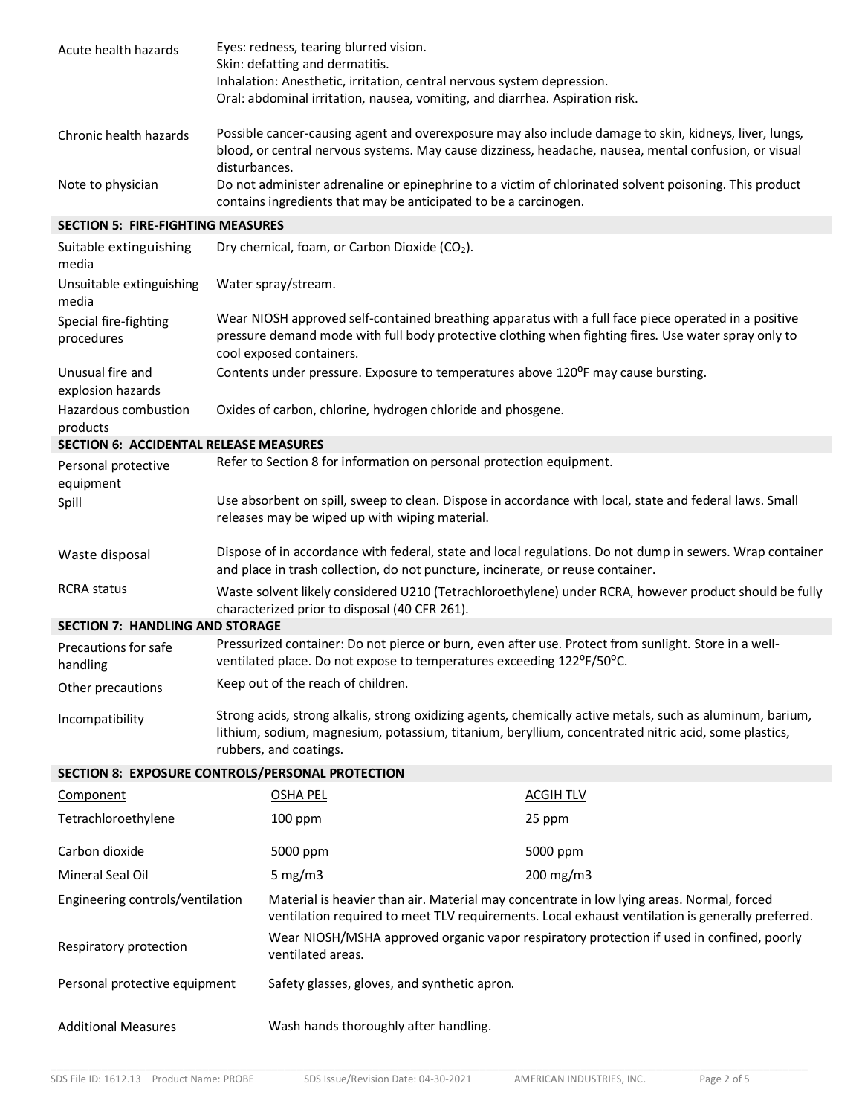| Acute health hazards                          | Eyes: redness, tearing blurred vision.                                                                                                                                     |                                                                                                                                                                                                                    |  |
|-----------------------------------------------|----------------------------------------------------------------------------------------------------------------------------------------------------------------------------|--------------------------------------------------------------------------------------------------------------------------------------------------------------------------------------------------------------------|--|
|                                               | Skin: defatting and dermatitis.                                                                                                                                            |                                                                                                                                                                                                                    |  |
|                                               |                                                                                                                                                                            | Inhalation: Anesthetic, irritation, central nervous system depression.                                                                                                                                             |  |
|                                               |                                                                                                                                                                            | Oral: abdominal irritation, nausea, vomiting, and diarrhea. Aspiration risk.                                                                                                                                       |  |
| Chronic health hazards                        | disturbances.                                                                                                                                                              | Possible cancer-causing agent and overexposure may also include damage to skin, kidneys, liver, lungs,<br>blood, or central nervous systems. May cause dizziness, headache, nausea, mental confusion, or visual    |  |
| Note to physician                             | Do not administer adrenaline or epinephrine to a victim of chlorinated solvent poisoning. This product<br>contains ingredients that may be anticipated to be a carcinogen. |                                                                                                                                                                                                                    |  |
| <b>SECTION 5: FIRE-FIGHTING MEASURES</b>      |                                                                                                                                                                            |                                                                                                                                                                                                                    |  |
| Suitable extinguishing<br>media               | Dry chemical, foam, or Carbon Dioxide (CO <sub>2</sub> ).                                                                                                                  |                                                                                                                                                                                                                    |  |
| Unsuitable extinguishing<br>media             | Water spray/stream.                                                                                                                                                        |                                                                                                                                                                                                                    |  |
| Special fire-fighting<br>procedures           | cool exposed containers.                                                                                                                                                   | Wear NIOSH approved self-contained breathing apparatus with a full face piece operated in a positive<br>pressure demand mode with full body protective clothing when fighting fires. Use water spray only to       |  |
| Unusual fire and<br>explosion hazards         |                                                                                                                                                                            | Contents under pressure. Exposure to temperatures above 120°F may cause bursting.                                                                                                                                  |  |
| Hazardous combustion<br>products              | Oxides of carbon, chlorine, hydrogen chloride and phosgene.                                                                                                                |                                                                                                                                                                                                                    |  |
| <b>SECTION 6: ACCIDENTAL RELEASE MEASURES</b> |                                                                                                                                                                            |                                                                                                                                                                                                                    |  |
| Personal protective                           |                                                                                                                                                                            | Refer to Section 8 for information on personal protection equipment.                                                                                                                                               |  |
| equipment                                     |                                                                                                                                                                            |                                                                                                                                                                                                                    |  |
| Spill                                         | releases may be wiped up with wiping material.                                                                                                                             | Use absorbent on spill, sweep to clean. Dispose in accordance with local, state and federal laws. Small                                                                                                            |  |
| Waste disposal                                |                                                                                                                                                                            | Dispose of in accordance with federal, state and local regulations. Do not dump in sewers. Wrap container<br>and place in trash collection, do not puncture, incinerate, or reuse container.                       |  |
| <b>RCRA</b> status                            | Waste solvent likely considered U210 (Tetrachloroethylene) under RCRA, however product should be fully<br>characterized prior to disposal (40 CFR 261).                    |                                                                                                                                                                                                                    |  |
| <b>SECTION 7: HANDLING AND STORAGE</b>        |                                                                                                                                                                            |                                                                                                                                                                                                                    |  |
| Precautions for safe<br>handling              |                                                                                                                                                                            | Pressurized container: Do not pierce or burn, even after use. Protect from sunlight. Store in a well-<br>ventilated place. Do not expose to temperatures exceeding 122°F/50°C.                                     |  |
| Other precautions                             | Keep out of the reach of children.                                                                                                                                         |                                                                                                                                                                                                                    |  |
| Incompatibility                               | rubbers, and coatings.                                                                                                                                                     | Strong acids, strong alkalis, strong oxidizing agents, chemically active metals, such as aluminum, barium,<br>lithium, sodium, magnesium, potassium, titanium, beryllium, concentrated nitric acid, some plastics, |  |
|                                               | SECTION 8: EXPOSURE CONTROLS/PERSONAL PROTECTION                                                                                                                           |                                                                                                                                                                                                                    |  |
| <b>Component</b>                              | <b>OSHA PEL</b>                                                                                                                                                            | <b>ACGIH TLV</b>                                                                                                                                                                                                   |  |
| Tetrachloroethylene                           | 100 ppm                                                                                                                                                                    | 25 ppm                                                                                                                                                                                                             |  |
| Carbon dioxide                                | 5000 ppm                                                                                                                                                                   | 5000 ppm                                                                                                                                                                                                           |  |
| Mineral Seal Oil                              | 5 mg/m $3$                                                                                                                                                                 | 200 mg/m3                                                                                                                                                                                                          |  |
| Engineering controls/ventilation              |                                                                                                                                                                            | Material is heavier than air. Material may concentrate in low lying areas. Normal, forced<br>ventilation required to meet TLV requirements. Local exhaust ventilation is generally preferred.                      |  |
| Respiratory protection                        | ventilated areas.                                                                                                                                                          | Wear NIOSH/MSHA approved organic vapor respiratory protection if used in confined, poorly                                                                                                                          |  |
| Personal protective equipment                 | Safety glasses, gloves, and synthetic apron.                                                                                                                               |                                                                                                                                                                                                                    |  |
| <b>Additional Measures</b>                    | Wash hands thoroughly after handling.                                                                                                                                      |                                                                                                                                                                                                                    |  |
|                                               |                                                                                                                                                                            |                                                                                                                                                                                                                    |  |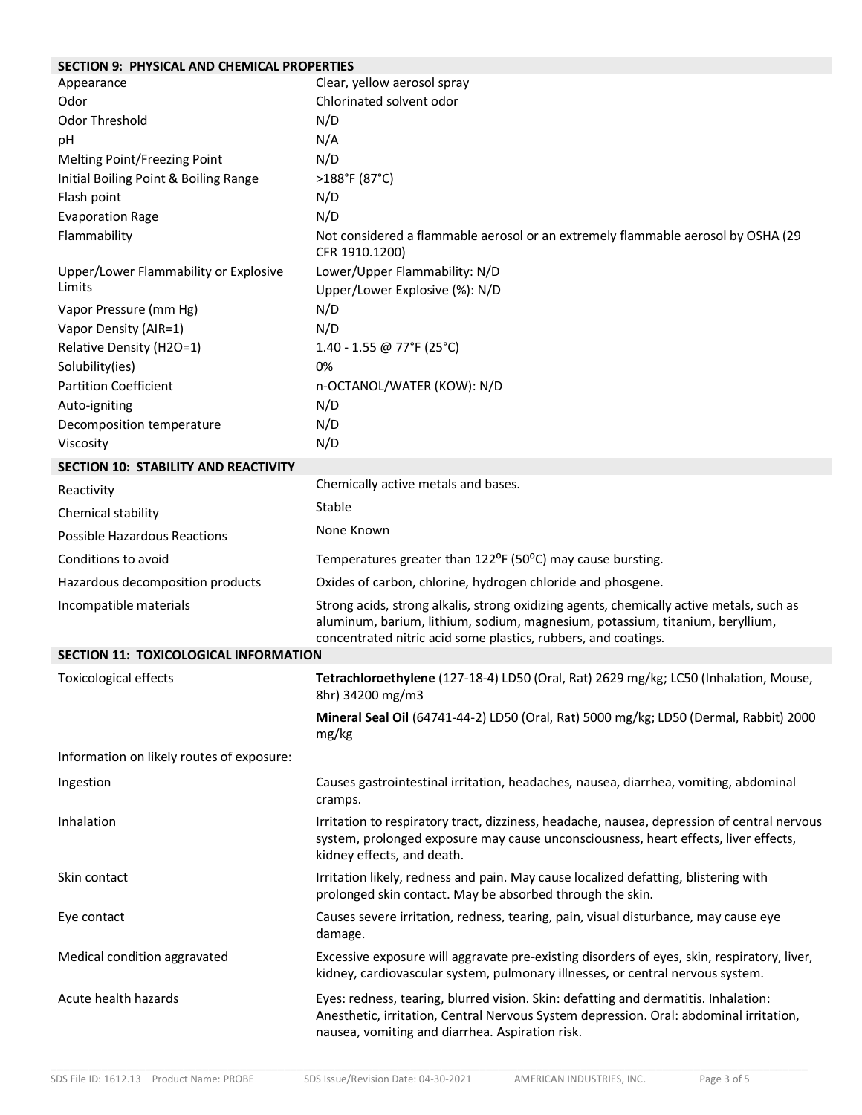## **SECTION 9: PHYSICAL AND CHEMICAL PROPERTIES**

| Appearance                                | Clear, yellow aerosol spray                                                                                                                                                                                                                 |
|-------------------------------------------|---------------------------------------------------------------------------------------------------------------------------------------------------------------------------------------------------------------------------------------------|
| Odor                                      | Chlorinated solvent odor                                                                                                                                                                                                                    |
| Odor Threshold                            | N/D                                                                                                                                                                                                                                         |
| pH                                        | N/A                                                                                                                                                                                                                                         |
| Melting Point/Freezing Point              | N/D                                                                                                                                                                                                                                         |
| Initial Boiling Point & Boiling Range     | >188°F (87°C)                                                                                                                                                                                                                               |
| Flash point                               | N/D                                                                                                                                                                                                                                         |
| <b>Evaporation Rage</b>                   | N/D                                                                                                                                                                                                                                         |
| Flammability                              | Not considered a flammable aerosol or an extremely flammable aerosol by OSHA (29<br>CFR 1910.1200)                                                                                                                                          |
| Upper/Lower Flammability or Explosive     | Lower/Upper Flammability: N/D                                                                                                                                                                                                               |
| Limits                                    | Upper/Lower Explosive (%): N/D                                                                                                                                                                                                              |
| Vapor Pressure (mm Hg)                    | N/D                                                                                                                                                                                                                                         |
| Vapor Density (AIR=1)                     | N/D                                                                                                                                                                                                                                         |
| Relative Density (H2O=1)                  | 1.40 - 1.55 @ 77°F (25°C)                                                                                                                                                                                                                   |
| Solubility(ies)                           | 0%                                                                                                                                                                                                                                          |
| <b>Partition Coefficient</b>              | n-OCTANOL/WATER (KOW): N/D                                                                                                                                                                                                                  |
| Auto-igniting                             | N/D                                                                                                                                                                                                                                         |
| Decomposition temperature                 | N/D                                                                                                                                                                                                                                         |
| Viscosity                                 | N/D                                                                                                                                                                                                                                         |
| SECTION 10: STABILITY AND REACTIVITY      |                                                                                                                                                                                                                                             |
| Reactivity                                | Chemically active metals and bases.                                                                                                                                                                                                         |
| Chemical stability                        | Stable                                                                                                                                                                                                                                      |
| <b>Possible Hazardous Reactions</b>       | None Known                                                                                                                                                                                                                                  |
| Conditions to avoid                       | Temperatures greater than 122°F (50°C) may cause bursting.                                                                                                                                                                                  |
| Hazardous decomposition products          | Oxides of carbon, chlorine, hydrogen chloride and phosgene.                                                                                                                                                                                 |
| Incompatible materials                    | Strong acids, strong alkalis, strong oxidizing agents, chemically active metals, such as<br>aluminum, barium, lithium, sodium, magnesium, potassium, titanium, beryllium,<br>concentrated nitric acid some plastics, rubbers, and coatings. |
| SECTION 11: TOXICOLOGICAL INFORMATION     |                                                                                                                                                                                                                                             |
| <b>Toxicological effects</b>              | Tetrachloroethylene (127-18-4) LD50 (Oral, Rat) 2629 mg/kg; LC50 (Inhalation, Mouse,<br>8hr) 34200 mg/m3                                                                                                                                    |
|                                           | Mineral Seal Oil (64741-44-2) LD50 (Oral, Rat) 5000 mg/kg; LD50 (Dermal, Rabbit) 2000<br>mg/kg                                                                                                                                              |
| Information on likely routes of exposure: |                                                                                                                                                                                                                                             |
| Ingestion                                 | Causes gastrointestinal irritation, headaches, nausea, diarrhea, vomiting, abdominal<br>cramps.                                                                                                                                             |
| Inhalation                                | Irritation to respiratory tract, dizziness, headache, nausea, depression of central nervous<br>system, prolonged exposure may cause unconsciousness, heart effects, liver effects,<br>kidney effects, and death.                            |
| Skin contact                              | Irritation likely, redness and pain. May cause localized defatting, blistering with<br>prolonged skin contact. May be absorbed through the skin.                                                                                            |
| Eye contact                               | Causes severe irritation, redness, tearing, pain, visual disturbance, may cause eye<br>damage.                                                                                                                                              |
| Medical condition aggravated              | Excessive exposure will aggravate pre-existing disorders of eyes, skin, respiratory, liver,<br>kidney, cardiovascular system, pulmonary illnesses, or central nervous system.                                                               |
| Acute health hazards                      | Eyes: redness, tearing, blurred vision. Skin: defatting and dermatitis. Inhalation:<br>Anesthetic, irritation, Central Nervous System depression. Oral: abdominal irritation,<br>nausea, vomiting and diarrhea. Aspiration risk.            |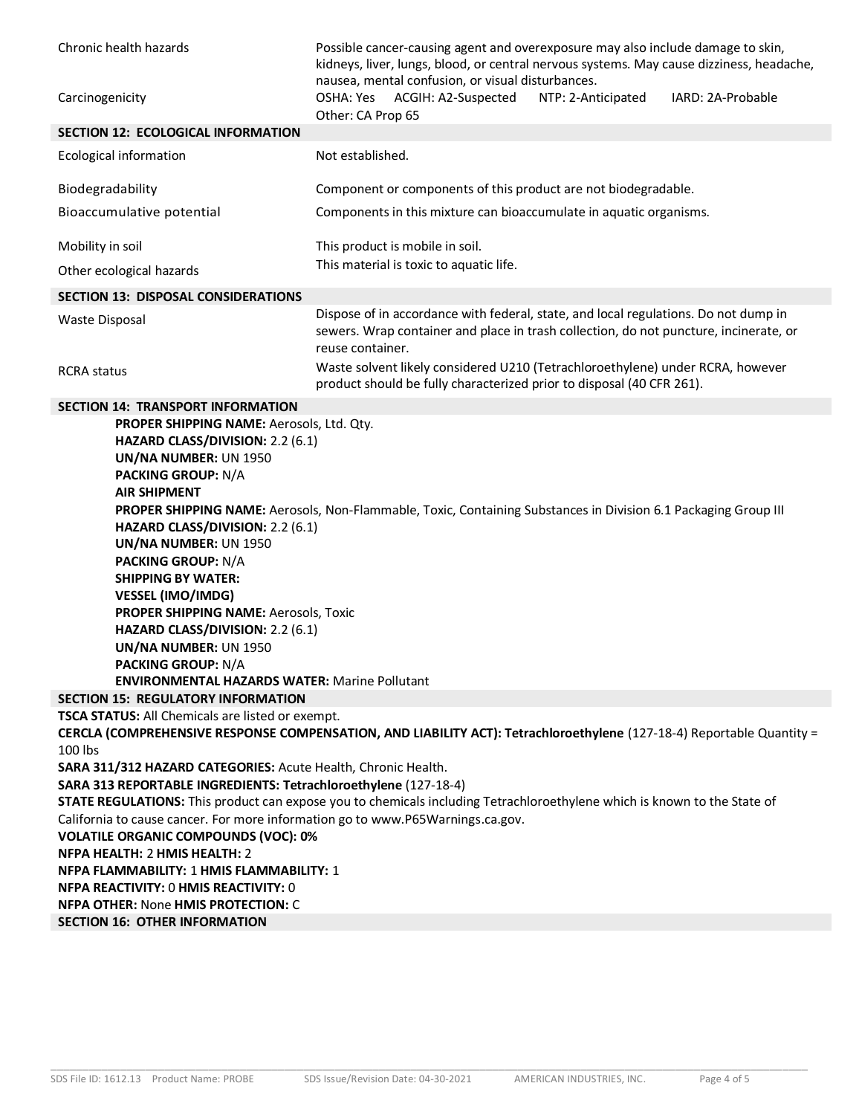| Chronic health hazards                                                                                                                                                                                                                                                                                                                                                                                                                                                                                                                                                                                                                                            | Possible cancer-causing agent and overexposure may also include damage to skin,<br>kidneys, liver, lungs, blood, or central nervous systems. May cause dizziness, headache,<br>nausea, mental confusion, or visual disturbances. |
|-------------------------------------------------------------------------------------------------------------------------------------------------------------------------------------------------------------------------------------------------------------------------------------------------------------------------------------------------------------------------------------------------------------------------------------------------------------------------------------------------------------------------------------------------------------------------------------------------------------------------------------------------------------------|----------------------------------------------------------------------------------------------------------------------------------------------------------------------------------------------------------------------------------|
| Carcinogenicity                                                                                                                                                                                                                                                                                                                                                                                                                                                                                                                                                                                                                                                   | OSHA: Yes<br>ACGIH: A2-Suspected<br>IARD: 2A-Probable<br>NTP: 2-Anticipated<br>Other: CA Prop 65                                                                                                                                 |
| SECTION 12: ECOLOGICAL INFORMATION                                                                                                                                                                                                                                                                                                                                                                                                                                                                                                                                                                                                                                |                                                                                                                                                                                                                                  |
| Ecological information                                                                                                                                                                                                                                                                                                                                                                                                                                                                                                                                                                                                                                            | Not established.                                                                                                                                                                                                                 |
| Biodegradability                                                                                                                                                                                                                                                                                                                                                                                                                                                                                                                                                                                                                                                  | Component or components of this product are not biodegradable.                                                                                                                                                                   |
| Bioaccumulative potential                                                                                                                                                                                                                                                                                                                                                                                                                                                                                                                                                                                                                                         | Components in this mixture can bioaccumulate in aquatic organisms.                                                                                                                                                               |
| Mobility in soil                                                                                                                                                                                                                                                                                                                                                                                                                                                                                                                                                                                                                                                  | This product is mobile in soil.                                                                                                                                                                                                  |
| Other ecological hazards                                                                                                                                                                                                                                                                                                                                                                                                                                                                                                                                                                                                                                          | This material is toxic to aquatic life.                                                                                                                                                                                          |
| <b>SECTION 13: DISPOSAL CONSIDERATIONS</b>                                                                                                                                                                                                                                                                                                                                                                                                                                                                                                                                                                                                                        |                                                                                                                                                                                                                                  |
| <b>Waste Disposal</b>                                                                                                                                                                                                                                                                                                                                                                                                                                                                                                                                                                                                                                             | Dispose of in accordance with federal, state, and local regulations. Do not dump in<br>sewers. Wrap container and place in trash collection, do not puncture, incinerate, or<br>reuse container.                                 |
| <b>RCRA</b> status                                                                                                                                                                                                                                                                                                                                                                                                                                                                                                                                                                                                                                                | Waste solvent likely considered U210 (Tetrachloroethylene) under RCRA, however<br>product should be fully characterized prior to disposal (40 CFR 261).                                                                          |
| <b>SECTION 14: TRANSPORT INFORMATION</b>                                                                                                                                                                                                                                                                                                                                                                                                                                                                                                                                                                                                                          |                                                                                                                                                                                                                                  |
| PROPER SHIPPING NAME: Aerosols, Ltd. Qty.<br>HAZARD CLASS/DIVISION: 2.2 (6.1)<br>UN/NA NUMBER: UN 1950<br><b>PACKING GROUP: N/A</b><br><b>AIR SHIPMENT</b><br>PROPER SHIPPING NAME: Aerosols, Non-Flammable, Toxic, Containing Substances in Division 6.1 Packaging Group III<br>HAZARD CLASS/DIVISION: 2.2 (6.1)<br>UN/NA NUMBER: UN 1950<br><b>PACKING GROUP: N/A</b><br><b>SHIPPING BY WATER:</b><br><b>VESSEL (IMO/IMDG)</b><br>PROPER SHIPPING NAME: Aerosols, Toxic<br>HAZARD CLASS/DIVISION: 2.2 (6.1)<br>UN/NA NUMBER: UN 1950<br><b>PACKING GROUP: N/A</b><br><b>ENVIRONMENTAL HAZARDS WATER: Marine Pollutant</b><br>SECTION 15: REGULATORY INFORMATION |                                                                                                                                                                                                                                  |
| <b>TSCA STATUS:</b> All Chemicals are listed or exempt.                                                                                                                                                                                                                                                                                                                                                                                                                                                                                                                                                                                                           |                                                                                                                                                                                                                                  |
|                                                                                                                                                                                                                                                                                                                                                                                                                                                                                                                                                                                                                                                                   | CERCLA (COMPREHENSIVE RESPONSE COMPENSATION, AND LIABILITY ACT): Tetrachloroethylene (127-18-4) Reportable Quantity =                                                                                                            |
| 100 lbs                                                                                                                                                                                                                                                                                                                                                                                                                                                                                                                                                                                                                                                           |                                                                                                                                                                                                                                  |
| SARA 311/312 HAZARD CATEGORIES: Acute Health, Chronic Health.                                                                                                                                                                                                                                                                                                                                                                                                                                                                                                                                                                                                     |                                                                                                                                                                                                                                  |
| SARA 313 REPORTABLE INGREDIENTS: Tetrachloroethylene (127-18-4)                                                                                                                                                                                                                                                                                                                                                                                                                                                                                                                                                                                                   |                                                                                                                                                                                                                                  |
|                                                                                                                                                                                                                                                                                                                                                                                                                                                                                                                                                                                                                                                                   | STATE REGULATIONS: This product can expose you to chemicals including Tetrachloroethylene which is known to the State of                                                                                                         |
| California to cause cancer. For more information go to www.P65Warnings.ca.gov.                                                                                                                                                                                                                                                                                                                                                                                                                                                                                                                                                                                    |                                                                                                                                                                                                                                  |
| <b>VOLATILE ORGANIC COMPOUNDS (VOC): 0%</b>                                                                                                                                                                                                                                                                                                                                                                                                                                                                                                                                                                                                                       |                                                                                                                                                                                                                                  |
| NFPA HEALTH: 2 HMIS HEALTH: 2<br>NFPA FLAMMABILITY: 1 HMIS FLAMMABILITY: 1                                                                                                                                                                                                                                                                                                                                                                                                                                                                                                                                                                                        |                                                                                                                                                                                                                                  |
| <b>NFPA REACTIVITY: 0 HMIS REACTIVITY: 0</b>                                                                                                                                                                                                                                                                                                                                                                                                                                                                                                                                                                                                                      |                                                                                                                                                                                                                                  |
| <b>NFPA OTHER: None HMIS PROTECTION: C</b>                                                                                                                                                                                                                                                                                                                                                                                                                                                                                                                                                                                                                        |                                                                                                                                                                                                                                  |
| <b>SECTION 16: OTHER INFORMATION</b>                                                                                                                                                                                                                                                                                                                                                                                                                                                                                                                                                                                                                              |                                                                                                                                                                                                                                  |